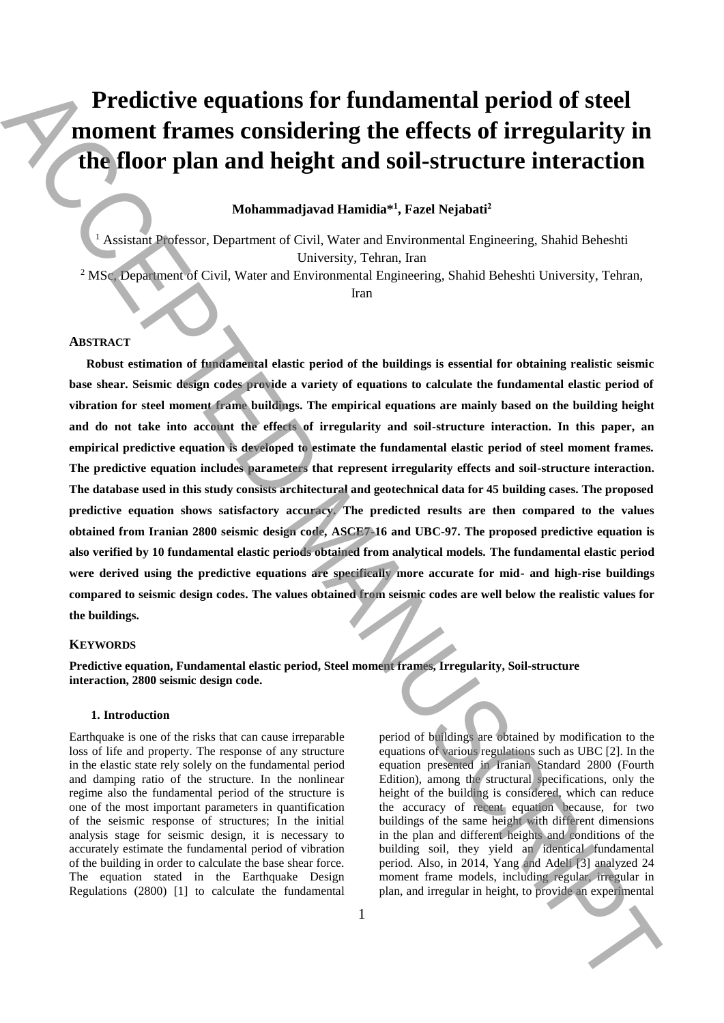# **Predictive equations for fundamental period of steel moment frames considering the effects of irregularity in the floor plan and height and soil-structure interaction**

# **Mohammadjavad Hamidia\*<sup>1</sup> , Fazel Nejabati<sup>2</sup>**

<sup>1</sup> Assistant Professor, Department of Civil, Water and Environmental Engineering, Shahid Beheshti University, Tehran, Iran

<sup>2</sup> MSc, Department of Civil, Water and Environmental Engineering, Shahid Beheshti University, Tehran,

Iran

# **ABSTRACT**

**Robust estimation of fundamental elastic period of the buildings is essential for obtaining realistic seismic**  base shear. Seismic design codes provide a variety of equations to calculate the fundamental elastic period of **vibration for steel moment frame buildings. The empirical equations are mainly based on the building height and do not take into account the effects of irregularity and soil-structure interaction. In this paper, an empirical predictive equation is developed to estimate the fundamental elastic period of steel moment frames. The predictive equation includes parameters that represent irregularity effects and soil-structure interaction. The database used in this study consists architectural and geotechnical data for 45 building cases. The proposed predictive equation shows satisfactory accuracy. The predicted results are then compared to the values obtained from Iranian 2800 seismic design code, ASCE7-16 and UBC-97. The proposed predictive equation is also verified by 10 fundamental elastic periods obtained from analytical models. The fundamental elastic period were derived using the predictive equations are specifically more accurate for mid- and high-rise buildings compared to seismic design codes. The values obtained from seismic codes are well below the realistic values for the buildings. Predictive equations for fundamental period of steel<br>
moment frames considering the effects of irregularity in the plane is considering the effects of irregularity in China and the state of the state of the state of the** 

### **KEYWORDS**

**Predictive equation, Fundamental elastic period, Steel moment frames, Irregularity, Soil-structure interaction, 2800 seismic design code.**

#### **1. Introduction**

Earthquake is one of the risks that can cause irreparable loss of life and property. The response of any structure in the elastic state rely solely on the fundamental period and damping ratio of the structure. In the nonlinear regime also the fundamental period of the structure is one of the most important parameters in quantification of the seismic response of structures; In the initial analysis stage for seismic design, it is necessary to accurately estimate the fundamental period of vibration of the building in order to calculate the base shear force. The equation stated in the Earthquake Design Regulations (2800) [1] to calculate the fundamental period of buildings are obtained by modification to the equations of various regulations such as UBC [2]. In the equation presented in Iranian Standard 2800 (Fourth Edition), among the structural specifications, only the height of the building is considered, which can reduce the accuracy of recent equation because, for two buildings of the same height with different dimensions in the plan and different heights and conditions of the building soil, they yield an identical fundamental period. Also, in 2014, Yang and Adeli [3] analyzed 24 moment frame models, including regular, irregular in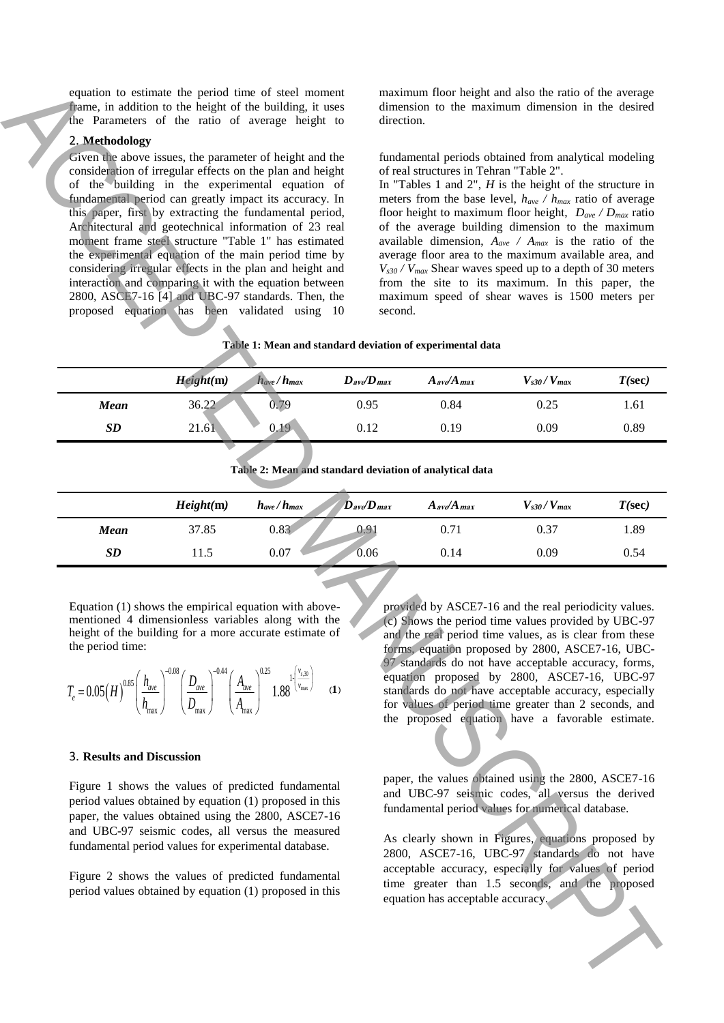### 2. **Methodology**

#### **Table 1: Mean and standard deviation of experimental data**

| equation to estimate the period time of steel moment<br>frame, in addition to the height of the building, it uses<br>the Parameters of the ratio of average height to                                                                                                                                                                                                                                                                                                                                                                                                                                                                                                                                                |                                                           | maximum floor height and also the ratio of the average<br>dimension to the maximum dimension in the desired<br>direction.                                                                                                                                                                                                                                                                                                                                                                                |                                       |                                                                                                                                                                                                                                                                                                                                                                                                                                                                                                                                                                                                                                                                              |                   |           |  |  |  |
|----------------------------------------------------------------------------------------------------------------------------------------------------------------------------------------------------------------------------------------------------------------------------------------------------------------------------------------------------------------------------------------------------------------------------------------------------------------------------------------------------------------------------------------------------------------------------------------------------------------------------------------------------------------------------------------------------------------------|-----------------------------------------------------------|----------------------------------------------------------------------------------------------------------------------------------------------------------------------------------------------------------------------------------------------------------------------------------------------------------------------------------------------------------------------------------------------------------------------------------------------------------------------------------------------------------|---------------------------------------|------------------------------------------------------------------------------------------------------------------------------------------------------------------------------------------------------------------------------------------------------------------------------------------------------------------------------------------------------------------------------------------------------------------------------------------------------------------------------------------------------------------------------------------------------------------------------------------------------------------------------------------------------------------------------|-------------------|-----------|--|--|--|
| 2. Methodology<br>Given the above issues, the parameter of height and the<br>consideration of irregular effects on the plan and height<br>of the building in the experimental equation of<br>fundamental period can greatly impact its accuracy. In<br>this paper, first by extracting the fundamental period,<br>Architectural and geotechnical information of 23 real<br>moment frame steel structure "Table 1" has estimated<br>the experimental equation of the main period time by<br>considering irregular effects in the plan and height and<br>interaction and comparing it with the equation between<br>2800, ASCE7-16 [4] and UBC-97 standards. Then, the<br>proposed equation has been validated using 10 |                                                           |                                                                                                                                                                                                                                                                                                                                                                                                                                                                                                          |                                       | fundamental periods obtained from analytical modeling<br>of real structures in Tehran "Table 2".<br>In "Tables 1 and 2", $H$ is the height of the structure in<br>meters from the base level, $h_{ave} / h_{max}$ ratio of average<br>floor height to maximum floor height, $D_{ave} / D_{max}$ ratio<br>of the average building dimension to the maximum<br>available dimension, $A_{ave}$ / $A_{max}$ is the ratio of the<br>average floor area to the maximum available area, and<br>$V_{s30}$ / $V_{max}$ Shear waves speed up to a depth of 30 meters<br>from the site to its maximum. In this paper, the<br>maximum speed of shear waves is 1500 meters per<br>second. |                   |           |  |  |  |
|                                                                                                                                                                                                                                                                                                                                                                                                                                                                                                                                                                                                                                                                                                                      | Table 1: Mean and standard deviation of experimental data |                                                                                                                                                                                                                                                                                                                                                                                                                                                                                                          |                                       |                                                                                                                                                                                                                                                                                                                                                                                                                                                                                                                                                                                                                                                                              |                   |           |  |  |  |
|                                                                                                                                                                                                                                                                                                                                                                                                                                                                                                                                                                                                                                                                                                                      | Height(m)                                                 | $h_{ave}/h_{max}$                                                                                                                                                                                                                                                                                                                                                                                                                                                                                        | $D_{\text{av}}/D_{\text{max}}$        | $A_{\text{av}}/A_{\text{max}}$                                                                                                                                                                                                                                                                                                                                                                                                                                                                                                                                                                                                                                               | $V_{s30}/V_{max}$ | $T(\sec)$ |  |  |  |
| Mean                                                                                                                                                                                                                                                                                                                                                                                                                                                                                                                                                                                                                                                                                                                 | 36.22                                                     | 0.79                                                                                                                                                                                                                                                                                                                                                                                                                                                                                                     | 0.95                                  | 0.84                                                                                                                                                                                                                                                                                                                                                                                                                                                                                                                                                                                                                                                                         | 0.25              | 1.61      |  |  |  |
| SD                                                                                                                                                                                                                                                                                                                                                                                                                                                                                                                                                                                                                                                                                                                   | 21.61                                                     | 0.19                                                                                                                                                                                                                                                                                                                                                                                                                                                                                                     | 0.12                                  | 0.19                                                                                                                                                                                                                                                                                                                                                                                                                                                                                                                                                                                                                                                                         | 0.09              | 0.89      |  |  |  |
| Table 2: Mean and standard deviation of analytical data                                                                                                                                                                                                                                                                                                                                                                                                                                                                                                                                                                                                                                                              |                                                           |                                                                                                                                                                                                                                                                                                                                                                                                                                                                                                          |                                       |                                                                                                                                                                                                                                                                                                                                                                                                                                                                                                                                                                                                                                                                              |                   |           |  |  |  |
|                                                                                                                                                                                                                                                                                                                                                                                                                                                                                                                                                                                                                                                                                                                      | Height(m)                                                 | $h_{ave}/h_{max}$                                                                                                                                                                                                                                                                                                                                                                                                                                                                                        | $D$ <sub>ave</sub> $D$ <sub>max</sub> | $A$ <sub>ave</sub> $A$ <sub>max</sub>                                                                                                                                                                                                                                                                                                                                                                                                                                                                                                                                                                                                                                        | $V_{s30}/V_{max}$ | $T(\sec)$ |  |  |  |
| <b>Mean</b>                                                                                                                                                                                                                                                                                                                                                                                                                                                                                                                                                                                                                                                                                                          | 37.85                                                     | 0.83                                                                                                                                                                                                                                                                                                                                                                                                                                                                                                     | 0.91                                  | 0.71                                                                                                                                                                                                                                                                                                                                                                                                                                                                                                                                                                                                                                                                         | 0.37              | 1.89      |  |  |  |
| SD                                                                                                                                                                                                                                                                                                                                                                                                                                                                                                                                                                                                                                                                                                                   | 11.5                                                      | 0.07                                                                                                                                                                                                                                                                                                                                                                                                                                                                                                     | 0.06                                  | 0.14                                                                                                                                                                                                                                                                                                                                                                                                                                                                                                                                                                                                                                                                         | 0.09              | 0.54      |  |  |  |
| Equation (1) shows the empirical equation with above-<br>mentioned 4 dimensionless variables along with the<br>height of the building for a more accurate estimate of<br>the period time:<br>$T_e = 0.05 \left(H\right)^{0.85} \left(\frac{h_{ave}}{h_{max}}\right)^{-0.08} \left(\frac{D_{ave}}{D_{max}}\right)^{-0.44} \left(\frac{A_{ave}}{A_{max}}\right)^{0.25} 1.88 \left(\frac{v_{s,30}}{v_{max}}\right)$ (1)                                                                                                                                                                                                                                                                                                 |                                                           | provided by ASCE7-16 and the real periodicity values.<br>(c) Shows the period time values provided by UBC-97<br>and the real period time values, as is clear from these<br>forms, equation proposed by 2800, ASCE7-16, UBC-<br>97 standards do not have acceptable accuracy, forms,<br>equation proposed by 2800, ASCE7-16, UBC-97<br>standards do not have acceptable accuracy, especially<br>for values of period time greater than 2 seconds, and<br>the proposed equation have a favorable estimate. |                                       |                                                                                                                                                                                                                                                                                                                                                                                                                                                                                                                                                                                                                                                                              |                   |           |  |  |  |
| 3. Results and Discussion<br>Figure 1 shows the values of predicted fundamental<br>period values obtained by equation (1) proposed in this<br>paper, the values obtained using the 2800, ASCE7-16<br>and UBC-97 seismic codes, all versus the measured<br>fundamental period values for experimental database.<br>Figure 2 shows the values of predicted fundamental<br>period values obtained by equation (1) proposed in this                                                                                                                                                                                                                                                                                      |                                                           | paper, the values obtained using the 2800, ASCE7-16<br>and UBC-97 seismic codes, all versus the derived<br>fundamental period values for numerical database.<br>As clearly shown in Figures, equations proposed by<br>2800, ASCE7-16, UBC-97 standards do not have<br>acceptable accuracy, especially for values of period<br>time greater than 1.5 seconds, and the proposed<br>equation has acceptable accuracy.                                                                                       |                                       |                                                                                                                                                                                                                                                                                                                                                                                                                                                                                                                                                                                                                                                                              |                   |           |  |  |  |

|           | Height(m) | $D$ <sub>ave</sub> $D$ <sub>max</sub><br>$h_{ave}/h_{max}$ | $A$ <sub>av</sub> $A$ <sub>max</sub> | $V_{s30}/V_{max}$ | $T(\sec)$ |
|-----------|-----------|------------------------------------------------------------|--------------------------------------|-------------------|-----------|
| Mean      | 37.85     | 0.83<br>$0.9^{\circ}$                                      | 0.71                                 | 0.37              | 1.89      |
| <b>SD</b> | 1.5       | 0.07<br>0.06                                               | 0.14                                 | 0.09              | 0.54      |

$$
T_e = 0.05(H)^{0.85} \left(\frac{h_{ave}}{h_{max}}\right)^{-0.08} \left(\frac{D_{ave}}{D_{max}}\right)^{-0.44} \left(\frac{A_{ave}}{A_{max}}\right)^{0.25} 1.88^{\left[\frac{v_{s,30}}{v_{max}}\right]} \quad (1)
$$

#### 3. **Results and Discussion**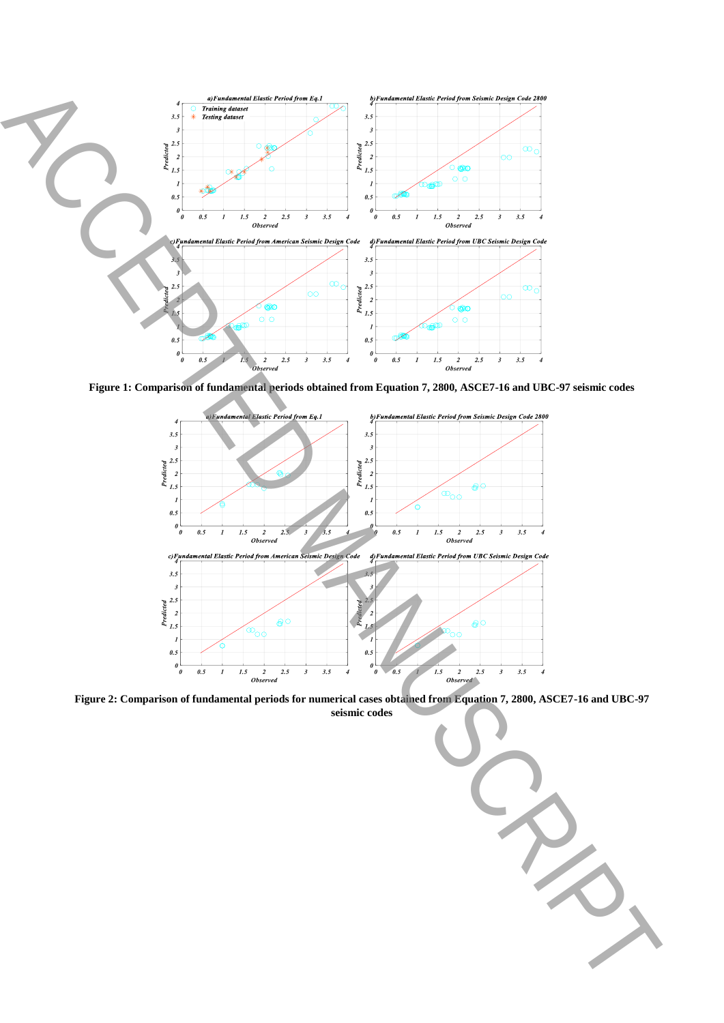

**Figure 1: Comparison of fundamental periods obtained from Equation 7, 2800, ASCE7-16 and UBC-97 seismic codes**



**Figure 2: Comparison of fundamental periods for numerical cases obtained from Equation 7, 2800, ASCE7-16 and UBC-97**